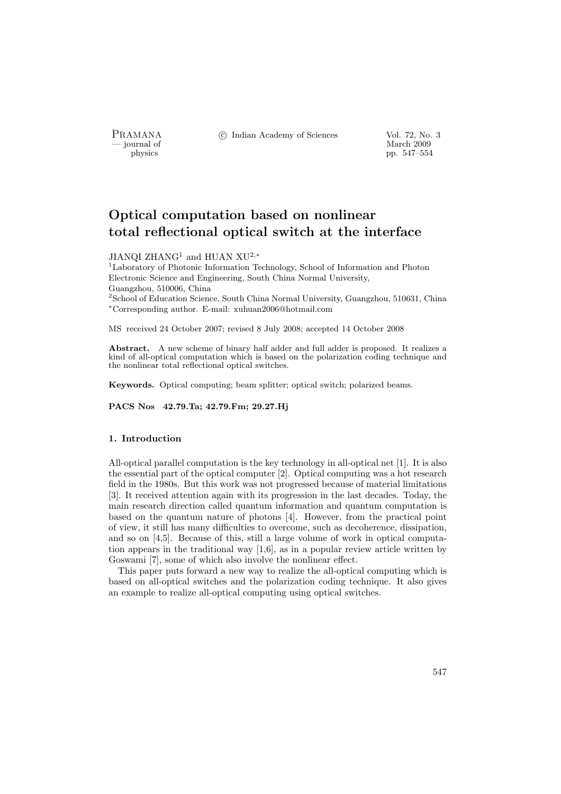- journal of<br>physics

PRAMANA <sup>©</sup>© Indian Academy of Sciences Vol. 72, No. 3<br>
— journal of March 2009

physics pp. 547–554

# Optical computation based on nonlinear total reflectional optical switch at the interface

### JIANQI ZHANG<sup>1</sup> and HUAN XU<sup>2,\*</sup>

<sup>1</sup>Laboratory of Photonic Information Technology, School of Information and Photon Electronic Science and Engineering, South China Normal University, Guangzhou, 510006, China <sup>2</sup>School of Education Science, South China Normal University, Guangzhou, 510631, China <sup>∗</sup>Corresponding author. E-mail: xuhuan2006@hotmail.com

MS received 24 October 2007; revised 8 July 2008; accepted 14 October 2008

Abstract. A new scheme of binary half adder and full adder is proposed. It realizes a kind of all-optical computation which is based on the polarization coding technique and the nonlinear total reflectional optical switches.

Keywords. Optical computing; beam splitter; optical switch; polarized beams.

PACS Nos 42.79.Ta; 42.79.Fm; 29.27.Hj

## 1. Introduction

All-optical parallel computation is the key technology in all-optical net [1]. It is also the essential part of the optical computer [2]. Optical computing was a hot research field in the 1980s. But this work was not progressed because of material limitations [3]. It received attention again with its progression in the last decades. Today, the main research direction called quantum information and quantum computation is based on the quantum nature of photons [4]. However, from the practical point of view, it still has many difficulties to overcome, such as decoherence, dissipation, and so on [4,5]. Because of this, still a large volume of work in optical computation appears in the traditional way [1,6], as in a popular review article written by Goswami [7], some of which also involve the nonlinear effect.

This paper puts forward a new way to realize the all-optical computing which is based on all-optical switches and the polarization coding technique. It also gives an example to realize all-optical computing using optical switches.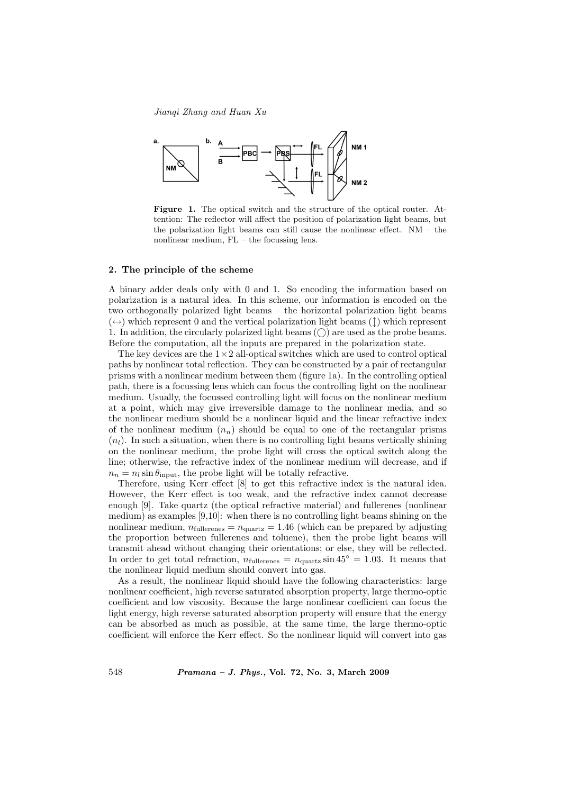Jianqi Zhang and Huan Xu



Figure 1. The optical switch and the structure of the optical router. Attention: The reflector will affect the position of polarization light beams, but the polarization light beams can still cause the nonlinear effect. NM – the nonlinear medium, FL – the focussing lens.

## 2. The principle of the scheme

A binary adder deals only with 0 and 1. So encoding the information based on polarization is a natural idea. In this scheme, our information is encoded on the two orthogonally polarized light beams – the horizontal polarization light beams  $(\leftrightarrow)$  which represent 0 and the vertical polarization light beams (1) which represent 1. In addition, the circularly polarized light beams  $(\bigcap)$  are used as the probe beams. Before the computation, all the inputs are prepared in the polarization state.

The key devices are the  $1 \times 2$  all-optical switches which are used to control optical paths by nonlinear total reflection. They can be constructed by a pair of rectangular prisms with a nonlinear medium between them (figure 1a). In the controlling optical path, there is a focussing lens which can focus the controlling light on the nonlinear medium. Usually, the focussed controlling light will focus on the nonlinear medium at a point, which may give irreversible damage to the nonlinear media, and so the nonlinear medium should be a nonlinear liquid and the linear refractive index of the nonlinear medium  $(n_n)$  should be equal to one of the rectangular prisms  $(n_l)$ . In such a situation, when there is no controlling light beams vertically shining on the nonlinear medium, the probe light will cross the optical switch along the line; otherwise, the refractive index of the nonlinear medium will decrease, and if  $n_n = n_l \sin \theta_{\text{input}}$ , the probe light will be totally refractive.

Therefore, using Kerr effect [8] to get this refractive index is the natural idea. However, the Kerr effect is too weak, and the refractive index cannot decrease enough [9]. Take quartz (the optical refractive material) and fullerenes (nonlinear medium) as examples [9,10]: when there is no controlling light beams shining on the nonlinear medium,  $n_{\text{fullerenes}} = n_{\text{quartz}} = 1.46$  (which can be prepared by adjusting the proportion between fullerenes and toluene), then the probe light beams will transmit ahead without changing their orientations; or else, they will be reflected. In order to get total refraction,  $n_{\text{fullerenes}} = n_{\text{quartz}} \sin 45^\circ = 1.03$ . It means that the nonlinear liquid medium should convert into gas.

As a result, the nonlinear liquid should have the following characteristics: large nonlinear coefficient, high reverse saturated absorption property, large thermo-optic coefficient and low viscosity. Because the large nonlinear coefficient can focus the light energy, high reverse saturated absorption property will ensure that the energy can be absorbed as much as possible, at the same time, the large thermo-optic coefficient will enforce the Kerr effect. So the nonlinear liquid will convert into gas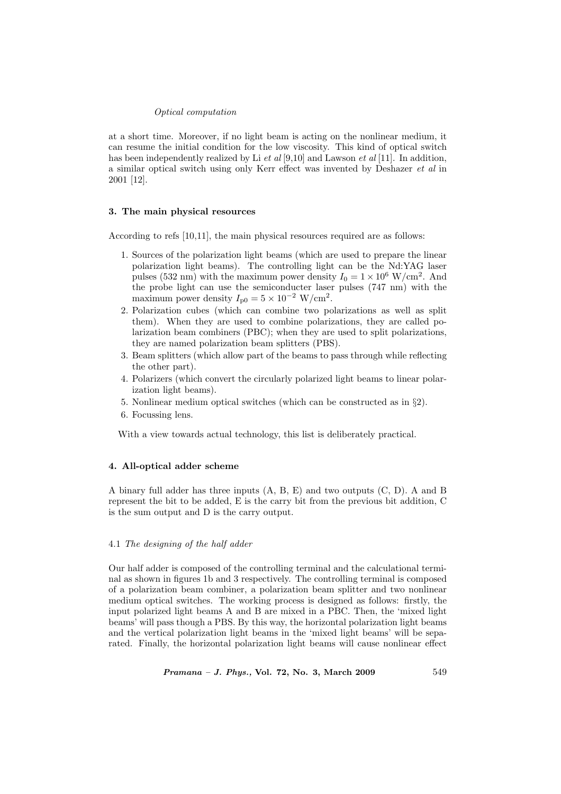## Optical computation

at a short time. Moreover, if no light beam is acting on the nonlinear medium, it can resume the initial condition for the low viscosity. This kind of optical switch has been independently realized by Li  $et al [9,10]$  and Lawson  $et al [11]$ . In addition, a similar optical switch using only Kerr effect was invented by Deshazer et al in 2001 [12].

## 3. The main physical resources

According to refs [10,11], the main physical resources required are as follows:

- 1. Sources of the polarization light beams (which are used to prepare the linear polarization light beams). The controlling light can be the Nd:YAG laser pulses (532 nm) with the maximum power density  $I_0 = 1 \times 10^6$  W/cm<sup>2</sup>. And the probe light can use the semiconducter laser pulses (747 nm) with the maximum power density  $I_{\text{p0}} = 5 \times 10^{-2} \text{ W/cm}^2$ .
- 2. Polarization cubes (which can combine two polarizations as well as split them). When they are used to combine polarizations, they are called polarization beam combiners (PBC); when they are used to split polarizations, they are named polarization beam splitters (PBS).
- 3. Beam splitters (which allow part of the beams to pass through while reflecting the other part).
- 4. Polarizers (which convert the circularly polarized light beams to linear polarization light beams).
- 5. Nonlinear medium optical switches (which can be constructed as in §2).
- 6. Focussing lens.

With a view towards actual technology, this list is deliberately practical.

## 4. All-optical adder scheme

A binary full adder has three inputs (A, B, E) and two outputs (C, D). A and B represent the bit to be added, E is the carry bit from the previous bit addition, C is the sum output and D is the carry output.

## 4.1 The designing of the half adder

Our half adder is composed of the controlling terminal and the calculational terminal as shown in figures 1b and 3 respectively. The controlling terminal is composed of a polarization beam combiner, a polarization beam splitter and two nonlinear medium optical switches. The working process is designed as follows: firstly, the input polarized light beams A and B are mixed in a PBC. Then, the 'mixed light beams' will pass though a PBS. By this way, the horizontal polarization light beams and the vertical polarization light beams in the 'mixed light beams' will be separated. Finally, the horizontal polarization light beams will cause nonlinear effect

 $Pramana - J. Phys., Vol. 72, No. 3, March 2009$  549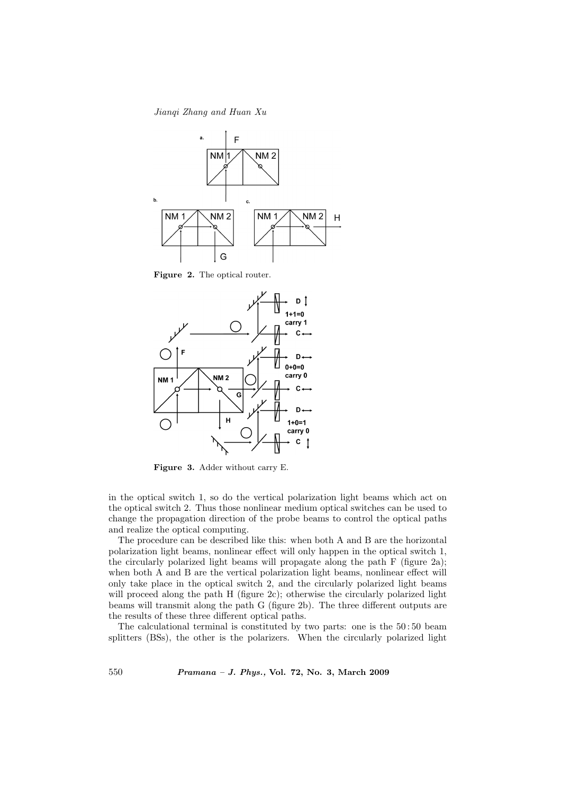Jianqi Zhang and Huan Xu



Figure 2. The optical router.



Figure 3. Adder without carry E.

in the optical switch 1, so do the vertical polarization light beams which act on the optical switch 2. Thus those nonlinear medium optical switches can be used to change the propagation direction of the probe beams to control the optical paths and realize the optical computing.

The procedure can be described like this: when both A and B are the horizontal polarization light beams, nonlinear effect will only happen in the optical switch 1, the circularly polarized light beams will propagate along the path F (figure 2a); when both A and B are the vertical polarization light beams, nonlinear effect will only take place in the optical switch 2, and the circularly polarized light beams will proceed along the path H (figure 2c); otherwise the circularly polarized light beams will transmit along the path G (figure 2b). The three different outputs are the results of these three different optical paths.

The calculational terminal is constituted by two parts: one is the 50 : 50 beam splitters (BSs), the other is the polarizers. When the circularly polarized light

550 Pramana – J. Phys., Vol. 72, No. 3, March 2009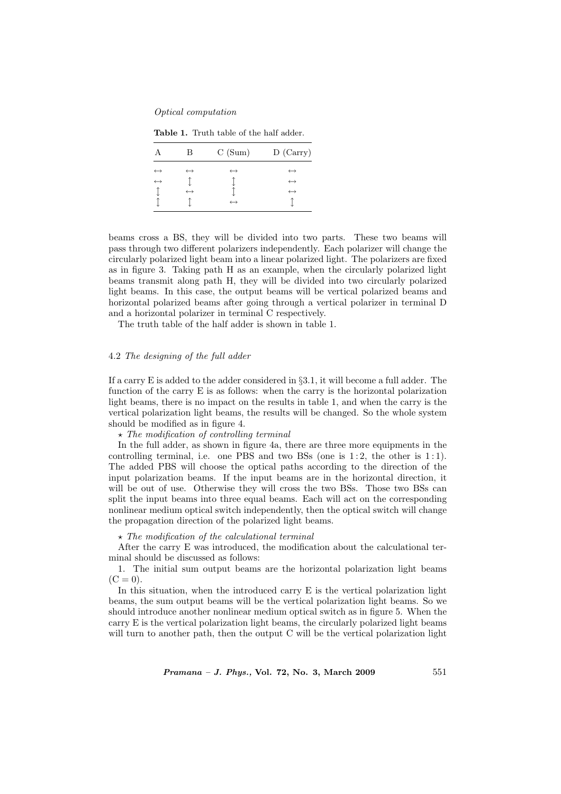#### Optical computation

Table 1. Truth table of the half adder.

|                   | В                 | C(Sum)            | $D$ (Carry)       |
|-------------------|-------------------|-------------------|-------------------|
| $\leftrightarrow$ | $\leftrightarrow$ | $\leftrightarrow$ | $\leftrightarrow$ |
| $\leftrightarrow$ |                   |                   | $\leftrightarrow$ |
|                   | $\leftrightarrow$ |                   | $\leftrightarrow$ |
|                   |                   | $\leftrightarrow$ |                   |

beams cross a BS, they will be divided into two parts. These two beams will pass through two different polarizers independently. Each polarizer will change the circularly polarized light beam into a linear polarized light. The polarizers are fixed as in figure 3. Taking path H as an example, when the circularly polarized light beams transmit along path H, they will be divided into two circularly polarized light beams. In this case, the output beams will be vertical polarized beams and horizontal polarized beams after going through a vertical polarizer in terminal D and a horizontal polarizer in terminal C respectively.

The truth table of the half adder is shown in table 1.

#### 4.2 The designing of the full adder

If a carry E is added to the adder considered in §3.1, it will become a full adder. The function of the carry E is as follows: when the carry is the horizontal polarization light beams, there is no impact on the results in table 1, and when the carry is the vertical polarization light beams, the results will be changed. So the whole system should be modified as in figure 4.

 $\star$  The modification of controlling terminal

In the full adder, as shown in figure 4a, there are three more equipments in the controlling terminal, i.e. one PBS and two BSs (one is  $1:2$ , the other is  $1:1$ ). The added PBS will choose the optical paths according to the direction of the input polarization beams. If the input beams are in the horizontal direction, it will be out of use. Otherwise they will cross the two BSs. Those two BSs can split the input beams into three equal beams. Each will act on the corresponding nonlinear medium optical switch independently, then the optical switch will change the propagation direction of the polarized light beams.

## $\star$  The modification of the calculational terminal

After the carry E was introduced, the modification about the calculational terminal should be discussed as follows:

1. The initial sum output beams are the horizontal polarization light beams  $(C = 0)$ .

In this situation, when the introduced carry E is the vertical polarization light beams, the sum output beams will be the vertical polarization light beams. So we should introduce another nonlinear medium optical switch as in figure 5. When the carry E is the vertical polarization light beams, the circularly polarized light beams will turn to another path, then the output C will be the vertical polarization light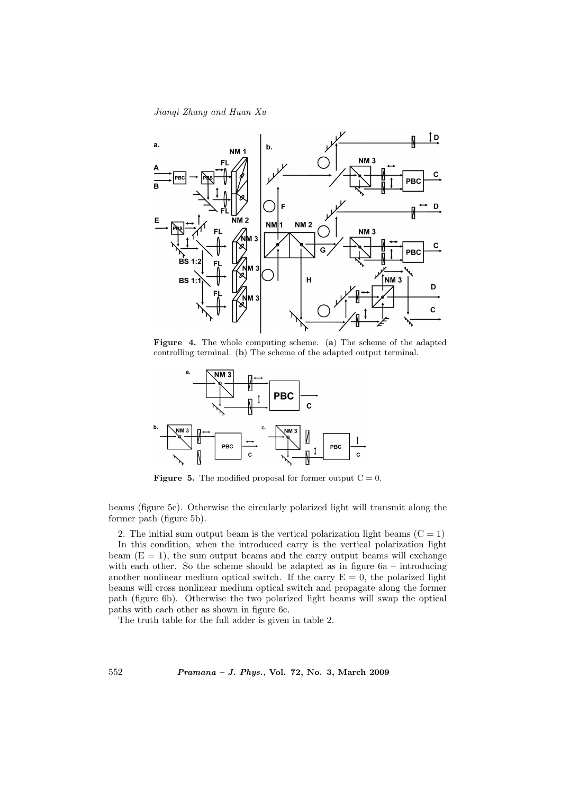Jianqi Zhang and Huan Xu



Figure 4. The whole computing scheme. (a) The scheme of the adapted controlling terminal. (b) The scheme of the adapted output terminal.



**Figure 5.** The modified proposal for former output  $C = 0$ .

beams (figure 5c). Otherwise the circularly polarized light will transmit along the former path (figure 5b).

2. The initial sum output beam is the vertical polarization light beams  $(C = 1)$ 

In this condition, when the introduced carry is the vertical polarization light beam  $(E = 1)$ , the sum output beams and the carry output beams will exchange with each other. So the scheme should be adapted as in figure  $6a - introducing$ another nonlinear medium optical switch. If the carry  $E = 0$ , the polarized light beams will cross nonlinear medium optical switch and propagate along the former path (figure 6b). Otherwise the two polarized light beams will swap the optical paths with each other as shown in figure 6c.

The truth table for the full adder is given in table 2.

552 Pramana – J. Phys., Vol. 72, No. 3, March 2009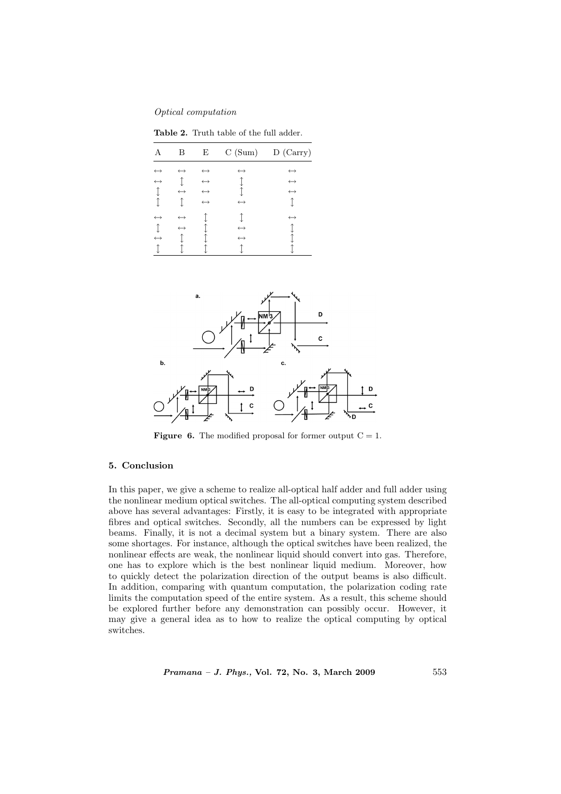Optical computation

Table 2. Truth table of the full adder.

|                                        | Β                                      | Ε                                                                                | C(Sum)                                 | D (Carry)                                                   |
|----------------------------------------|----------------------------------------|----------------------------------------------------------------------------------|----------------------------------------|-------------------------------------------------------------|
| $\leftrightarrow$<br>$\leftrightarrow$ | $\leftrightarrow$                      | $\leftrightarrow$<br>$\hookrightarrow$<br>$\hookrightarrow$<br>$\leftrightarrow$ | $\leftrightarrow$<br>$\leftrightarrow$ | $\leftrightarrow$<br>$\leftrightarrow$<br>$\leftrightarrow$ |
| $\leftrightarrow$<br>$\leftrightarrow$ | $\leftrightarrow$<br>$\leftrightarrow$ |                                                                                  | $\leftrightarrow$<br>$\leftrightarrow$ | $\leftrightarrow$                                           |



**Figure 6.** The modified proposal for former output  $C = 1$ .

## 5. Conclusion

In this paper, we give a scheme to realize all-optical half adder and full adder using the nonlinear medium optical switches. The all-optical computing system described above has several advantages: Firstly, it is easy to be integrated with appropriate fibres and optical switches. Secondly, all the numbers can be expressed by light beams. Finally, it is not a decimal system but a binary system. There are also some shortages. For instance, although the optical switches have been realized, the nonlinear effects are weak, the nonlinear liquid should convert into gas. Therefore, one has to explore which is the best nonlinear liquid medium. Moreover, how to quickly detect the polarization direction of the output beams is also difficult. In addition, comparing with quantum computation, the polarization coding rate limits the computation speed of the entire system. As a result, this scheme should be explored further before any demonstration can possibly occur. However, it may give a general idea as to how to realize the optical computing by optical switches.

Pramana – J. Phys., Vol. 72, No. 3, March 2009 553